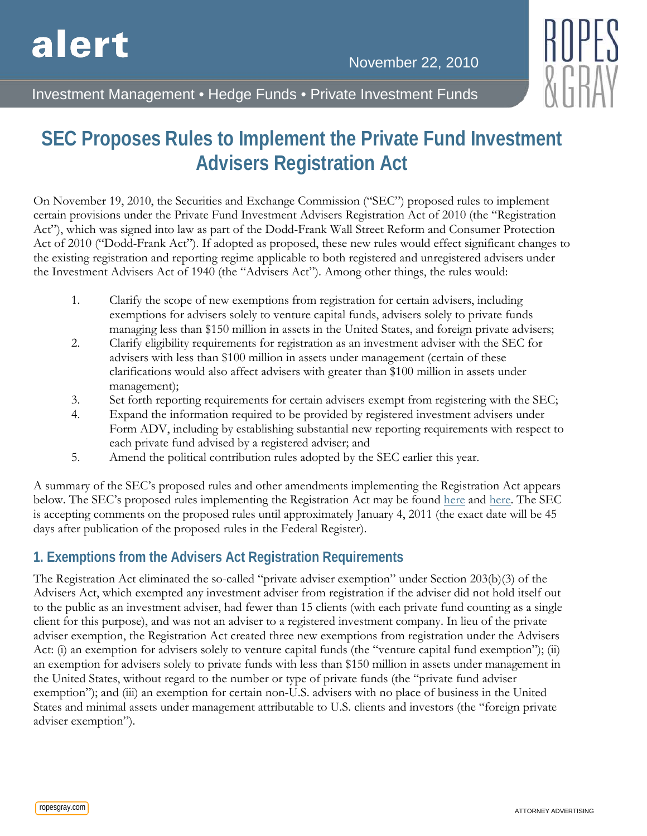

Investment Management • Hedge Funds • Private Investment Funds

# **SEC Proposes Rules to Implement the Private Fund Investment Advisers Registration Act**

On November 19, 2010, the Securities and Exchange Commission ("SEC") proposed rules to implement certain provisions under the Private Fund Investment Advisers Registration Act of 2010 (the "Registration Act"), which was signed into law as part of the Dodd-Frank Wall Street Reform and Consumer Protection Act of 2010 ("Dodd-Frank Act"). If adopted as proposed, these new rules would effect significant changes to the existing registration and reporting regime applicable to both registered and unregistered advisers under the Investment Advisers Act of 1940 (the "Advisers Act"). Among other things, the rules would:

- 1. Clarify the scope of new exemptions from registration for certain advisers, including exemptions for advisers solely to venture capital funds, advisers solely to private funds managing less than \$150 million in assets in the United States, and foreign private advisers;
- 2. Clarify eligibility requirements for registration as an investment adviser with the SEC for advisers with less than \$100 million in assets under management (certain of these clarifications would also affect advisers with greater than \$100 million in assets under management);
- 3. Set forth reporting requirements for certain advisers exempt from registering with the SEC;
- 4. Expand the information required to be provided by registered investment advisers under Form ADV, including by establishing substantial new reporting requirements with respect to each private fund advised by a registered adviser; and
- 5. Amend the political contribution rules adopted by the SEC earlier this year.

A summary of the SEC's proposed rules and other amendments implementing the Registration Act appears below. The SEC's proposed rules implementing the Registration Act may be found [here](http://www.sec.gov/rules/proposed/2010/ia-3111.pdf) and [here.](http://www.sec.gov/rules/proposed/2010/ia-3110.pdf) The SEC is accepting comments on the proposed rules until approximately January 4, 2011 (the exact date will be 45 days after publication of the proposed rules in the Federal Register).

# **1. Exemptions from the Advisers Act Registration Requirements**

The Registration Act eliminated the so-called "private adviser exemption" under Section 203(b)(3) of the Advisers Act, which exempted any investment adviser from registration if the adviser did not hold itself out to the public as an investment adviser, had fewer than 15 clients (with each private fund counting as a single client for this purpose), and was not an adviser to a registered investment company. In lieu of the private adviser exemption, the Registration Act created three new exemptions from registration under the Advisers Act: (i) an exemption for advisers solely to venture capital funds (the "venture capital fund exemption"); (ii) an exemption for advisers solely to private funds with less than \$150 million in assets under management in the United States, without regard to the number or type of private funds (the "private fund adviser exemption"); and (iii) an exemption for certain non-U.S. advisers with no place of business in the United States and minimal assets under management attributable to U.S. clients and investors (the "foreign private adviser exemption").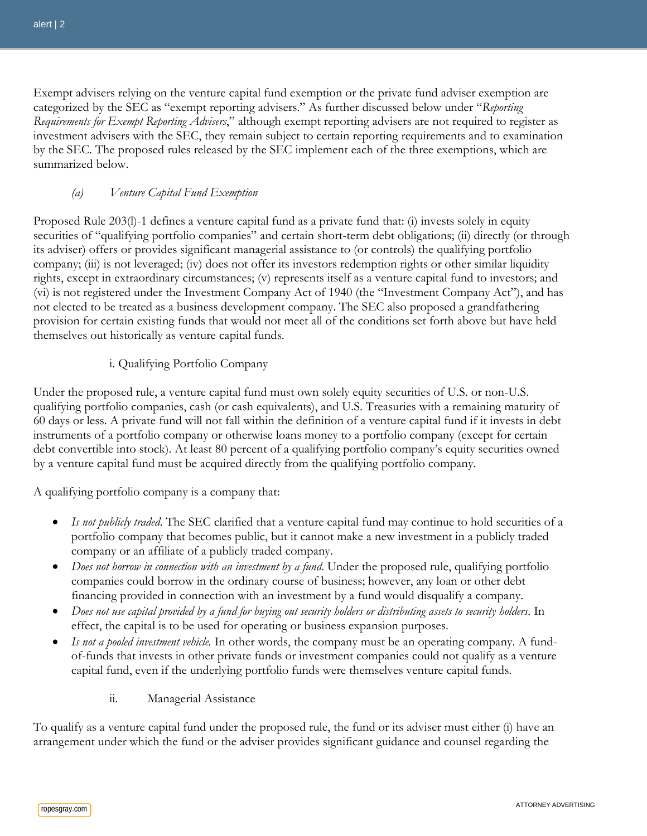Exempt advisers relying on the venture capital fund exemption or the private fund adviser exemption are categorized by the SEC as "exempt reporting advisers." As further discussed below under "*Reporting Requirements for Exempt Reporting Advisers*," although exempt reporting advisers are not required to register as investment advisers with the SEC, they remain subject to certain reporting requirements and to examination by the SEC. The proposed rules released by the SEC implement each of the three exemptions, which are summarized below.

### *(a) Venture Capital Fund Exemption*

Proposed Rule 203(l)-1 defines a venture capital fund as a private fund that: (i) invests solely in equity securities of "qualifying portfolio companies" and certain short-term debt obligations; (ii) directly (or through its adviser) offers or provides significant managerial assistance to (or controls) the qualifying portfolio company; (iii) is not leveraged; (iv) does not offer its investors redemption rights or other similar liquidity rights, except in extraordinary circumstances; (v) represents itself as a venture capital fund to investors; and (vi) is not registered under the Investment Company Act of 1940 (the "Investment Company Act"), and has not elected to be treated as a business development company. The SEC also proposed a grandfathering provision for certain existing funds that would not meet all of the conditions set forth above but have held themselves out historically as venture capital funds.

## i. Qualifying Portfolio Company

Under the proposed rule, a venture capital fund must own solely equity securities of U.S. or non-U.S. qualifying portfolio companies, cash (or cash equivalents), and U.S. Treasuries with a remaining maturity of 60 days or less. A private fund will not fall within the definition of a venture capital fund if it invests in debt instruments of a portfolio company or otherwise loans money to a portfolio company (except for certain debt convertible into stock). At least 80 percent of a qualifying portfolio company's equity securities owned by a venture capital fund must be acquired directly from the qualifying portfolio company.

A qualifying portfolio company is a company that:

- *Is not publicly traded*. The SEC clarified that a venture capital fund may continue to hold securities of a portfolio company that becomes public, but it cannot make a new investment in a publicly traded company or an affiliate of a publicly traded company.
- *Does not borrow in connection with an investment by a fund*. Under the proposed rule, qualifying portfolio companies could borrow in the ordinary course of business; however, any loan or other debt financing provided in connection with an investment by a fund would disqualify a company.
- *Does not use capital provided by a fund for buying out security holders or distributing assets to security holders*. In effect, the capital is to be used for operating or business expansion purposes.
- *Is not a pooled investment vehicle*. In other words, the company must be an operating company. A fundof-funds that invests in other private funds or investment companies could not qualify as a venture capital fund, even if the underlying portfolio funds were themselves venture capital funds.
	- ii. Managerial Assistance

To qualify as a venture capital fund under the proposed rule, the fund or its adviser must either (i) have an arrangement under which the fund or the adviser provides significant guidance and counsel regarding the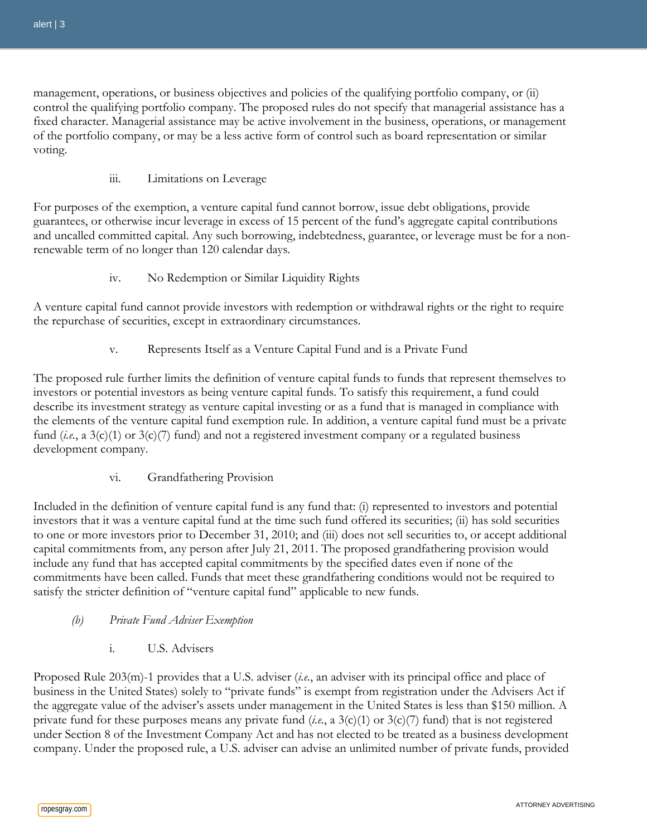management, operations, or business objectives and policies of the qualifying portfolio company, or (ii) control the qualifying portfolio company. The proposed rules do not specify that managerial assistance has a fixed character. Managerial assistance may be active involvement in the business, operations, or management of the portfolio company, or may be a less active form of control such as board representation or similar voting.

## iii. Limitations on Leverage

For purposes of the exemption, a venture capital fund cannot borrow, issue debt obligations, provide guarantees, or otherwise incur leverage in excess of 15 percent of the fund's aggregate capital contributions and uncalled committed capital. Any such borrowing, indebtedness, guarantee, or leverage must be for a nonrenewable term of no longer than 120 calendar days.

iv. No Redemption or Similar Liquidity Rights

A venture capital fund cannot provide investors with redemption or withdrawal rights or the right to require the repurchase of securities, except in extraordinary circumstances.

v. Represents Itself as a Venture Capital Fund and is a Private Fund

The proposed rule further limits the definition of venture capital funds to funds that represent themselves to investors or potential investors as being venture capital funds. To satisfy this requirement, a fund could describe its investment strategy as venture capital investing or as a fund that is managed in compliance with the elements of the venture capital fund exemption rule. In addition, a venture capital fund must be a private fund (*i.e.*, a 3(c)(1) or 3(c)(7) fund) and not a registered investment company or a regulated business development company.

vi. Grandfathering Provision

Included in the definition of venture capital fund is any fund that: (i) represented to investors and potential investors that it was a venture capital fund at the time such fund offered its securities; (ii) has sold securities to one or more investors prior to December 31, 2010; and (iii) does not sell securities to, or accept additional capital commitments from, any person after July 21, 2011. The proposed grandfathering provision would include any fund that has accepted capital commitments by the specified dates even if none of the commitments have been called. Funds that meet these grandfathering conditions would not be required to satisfy the stricter definition of "venture capital fund" applicable to new funds.

- *(b) Private Fund Adviser Exemption*
	- i. U.S. Advisers

Proposed Rule 203(m)-1 provides that a U.S. adviser (*i.e.*, an adviser with its principal office and place of business in the United States) solely to "private funds" is exempt from registration under the Advisers Act if the aggregate value of the adviser's assets under management in the United States is less than \$150 million. A private fund for these purposes means any private fund (*i.e.*, a 3(c)(1) or 3(c)(7) fund) that is not registered under Section 8 of the Investment Company Act and has not elected to be treated as a business development company. Under the proposed rule, a U.S. adviser can advise an unlimited number of private funds, provided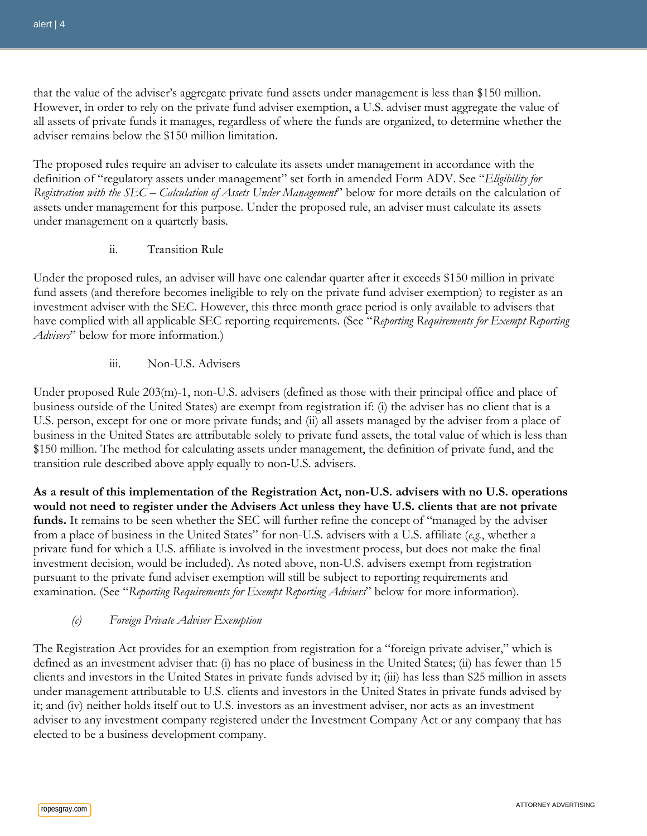that the value of the adviser's aggregate private fund assets under management is less than \$150 million. However, in order to rely on the private fund adviser exemption, a U.S. adviser must aggregate the value of all assets of private funds it manages, regardless of where the funds are organized, to determine whether the adviser remains below the \$150 million limitation.

The proposed rules require an adviser to calculate its assets under management in accordance with the definition of "regulatory assets under management" set forth in amended Form ADV. See "*Eligibility for Registration with the SEC – Calculation of Assets Under Management*" below for more details on the calculation of assets under management for this purpose. Under the proposed rule, an adviser must calculate its assets under management on a quarterly basis.

ii. Transition Rule

Under the proposed rules, an adviser will have one calendar quarter after it exceeds \$150 million in private fund assets (and therefore becomes ineligible to rely on the private fund adviser exemption) to register as an investment adviser with the SEC. However, this three month grace period is only available to advisers that have complied with all applicable SEC reporting requirements. (See "*Reporting Requirements for Exempt Reporting Advisers*" below for more information.)

iii. Non-U.S. Advisers

Under proposed Rule 203(m)-1, non-U.S. advisers (defined as those with their principal office and place of business outside of the United States) are exempt from registration if: (i) the adviser has no client that is a U.S. person, except for one or more private funds; and (ii) all assets managed by the adviser from a place of business in the United States are attributable solely to private fund assets, the total value of which is less than \$150 million. The method for calculating assets under management, the definition of private fund, and the transition rule described above apply equally to non-U.S. advisers.

**As a result of this implementation of the Registration Act, non-U.S. advisers with no U.S. operations would not need to register under the Advisers Act unless they have U.S. clients that are not private funds.** It remains to be seen whether the SEC will further refine the concept of "managed by the adviser from a place of business in the United States" for non-U.S. advisers with a U.S. affiliate (*e.g.*, whether a private fund for which a U.S. affiliate is involved in the investment process, but does not make the final investment decision, would be included). As noted above, non-U.S. advisers exempt from registration pursuant to the private fund adviser exemption will still be subject to reporting requirements and examination. (See "*Reporting Requirements for Exempt Reporting Advisers*" below for more information).

#### *(c) Foreign Private Adviser Exemption*

The Registration Act provides for an exemption from registration for a "foreign private adviser," which is defined as an investment adviser that: (i) has no place of business in the United States; (ii) has fewer than 15 clients and investors in the United States in private funds advised by it; (iii) has less than \$25 million in assets under management attributable to U.S. clients and investors in the United States in private funds advised by it; and (iv) neither holds itself out to U.S. investors as an investment adviser, nor acts as an investment adviser to any investment company registered under the Investment Company Act or any company that has elected to be a business development company.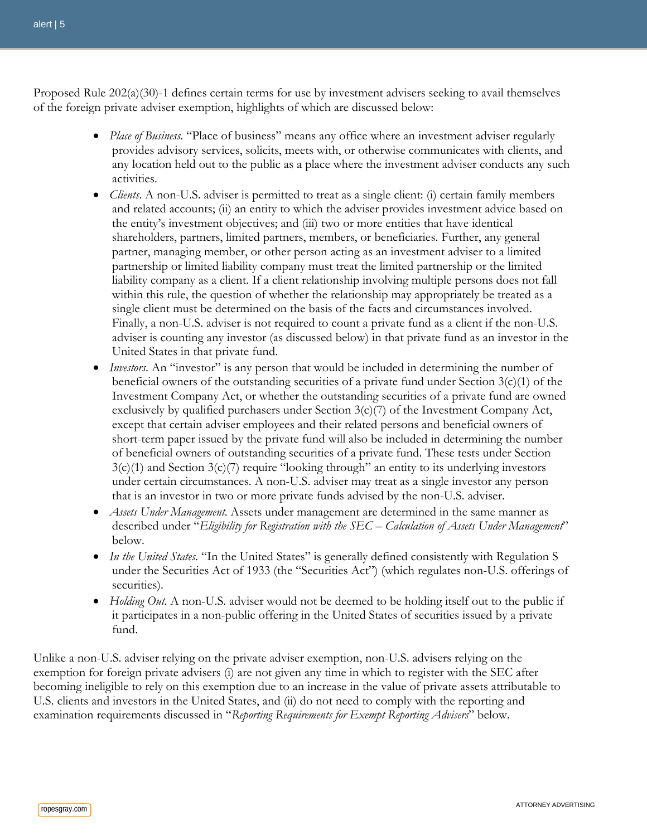Proposed Rule 202(a)(30)-1 defines certain terms for use by investment advisers seeking to avail themselves of the foreign private adviser exemption, highlights of which are discussed below:

- *Place of Business*. "Place of business" means any office where an investment adviser regularly provides advisory services, solicits, meets with, or otherwise communicates with clients, and any location held out to the public as a place where the investment adviser conducts any such activities.
- *Clients*. A non-U.S. adviser is permitted to treat as a single client: (i) certain family members and related accounts; (ii) an entity to which the adviser provides investment advice based on the entity's investment objectives; and (iii) two or more entities that have identical shareholders, partners, limited partners, members, or beneficiaries. Further, any general partner, managing member, or other person acting as an investment adviser to a limited partnership or limited liability company must treat the limited partnership or the limited liability company as a client. If a client relationship involving multiple persons does not fall within this rule, the question of whether the relationship may appropriately be treated as a single client must be determined on the basis of the facts and circumstances involved. Finally, a non-U.S. adviser is not required to count a private fund as a client if the non-U.S. adviser is counting any investor (as discussed below) in that private fund as an investor in the United States in that private fund.
- *Investors*. An "investor" is any person that would be included in determining the number of beneficial owners of the outstanding securities of a private fund under Section  $3(c)(1)$  of the Investment Company Act, or whether the outstanding securities of a private fund are owned exclusively by qualified purchasers under Section  $3(c)/7$  of the Investment Company Act, except that certain adviser employees and their related persons and beneficial owners of short-term paper issued by the private fund will also be included in determining the number of beneficial owners of outstanding securities of a private fund. These tests under Section  $3(c)(1)$  and Section  $3(c)(7)$  require "looking through" an entity to its underlying investors under certain circumstances. A non-U.S. adviser may treat as a single investor any person that is an investor in two or more private funds advised by the non-U.S. adviser.
- *Assets Under Management*. Assets under management are determined in the same manner as described under "*Eligibility for Registration with the SEC – Calculation of Assets Under Management*" below.
- *In the United States*. "In the United States" is generally defined consistently with Regulation S under the Securities Act of 1933 (the "Securities Act") (which regulates non-U.S. offerings of securities).
- *Holding Out.* A non-U.S. adviser would not be deemed to be holding itself out to the public if it participates in a non-public offering in the United States of securities issued by a private fund.

Unlike a non-U.S. adviser relying on the private adviser exemption, non-U.S. advisers relying on the exemption for foreign private advisers (i) are not given any time in which to register with the SEC after becoming ineligible to rely on this exemption due to an increase in the value of private assets attributable to U.S. clients and investors in the United States, and (ii) do not need to comply with the reporting and examination requirements discussed in "*Reporting Requirements for Exempt Reporting Advisers*" below.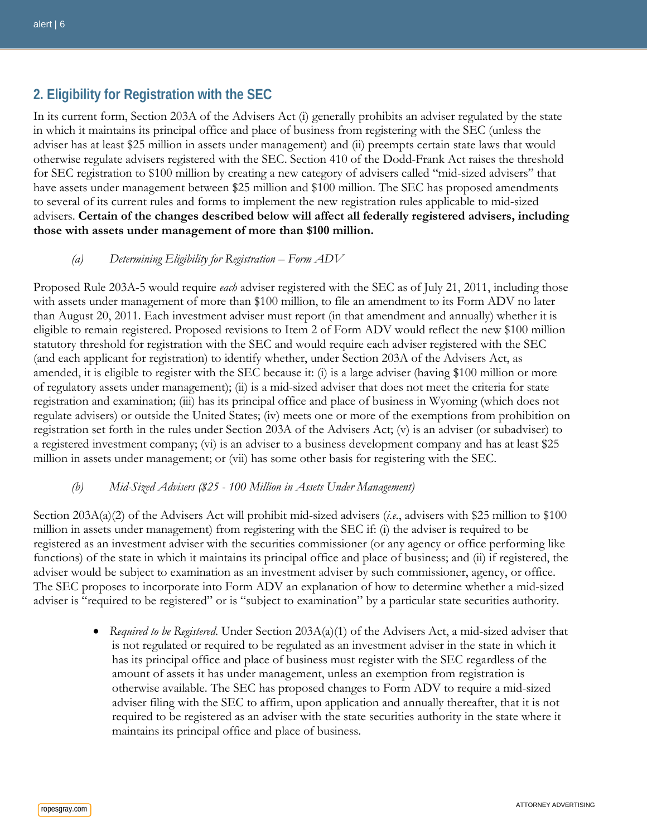# **2. Eligibility for Registration with the SEC**

In its current form, Section 203A of the Advisers Act (i) generally prohibits an adviser regulated by the state in which it maintains its principal office and place of business from registering with the SEC (unless the adviser has at least \$25 million in assets under management) and (ii) preempts certain state laws that would otherwise regulate advisers registered with the SEC. Section 410 of the Dodd-Frank Act raises the threshold for SEC registration to \$100 million by creating a new category of advisers called "mid-sized advisers" that have assets under management between \$25 million and \$100 million. The SEC has proposed amendments to several of its current rules and forms to implement the new registration rules applicable to mid-sized advisers. **Certain of the changes described below will affect all federally registered advisers, including those with assets under management of more than \$100 million.**

## *(a) Determining Eligibility for Registration – Form ADV*

Proposed Rule 203A-5 would require *each* adviser registered with the SEC as of July 21, 2011, including those with assets under management of more than \$100 million, to file an amendment to its Form ADV no later than August 20, 2011. Each investment adviser must report (in that amendment and annually) whether it is eligible to remain registered. Proposed revisions to Item 2 of Form ADV would reflect the new \$100 million statutory threshold for registration with the SEC and would require each adviser registered with the SEC (and each applicant for registration) to identify whether, under Section 203A of the Advisers Act, as amended, it is eligible to register with the SEC because it: (i) is a large adviser (having \$100 million or more of regulatory assets under management); (ii) is a mid-sized adviser that does not meet the criteria for state registration and examination; (iii) has its principal office and place of business in Wyoming (which does not regulate advisers) or outside the United States; (iv) meets one or more of the exemptions from prohibition on registration set forth in the rules under Section 203A of the Advisers Act; (v) is an adviser (or subadviser) to a registered investment company; (vi) is an adviser to a business development company and has at least \$25 million in assets under management; or (vii) has some other basis for registering with the SEC.

## *(b) Mid-Sized Advisers (\$25 - 100 Million in Assets Under Management)*

Section 203A(a)(2) of the Advisers Act will prohibit mid-sized advisers (*i.e.*, advisers with \$25 million to \$100 million in assets under management) from registering with the SEC if: (i) the adviser is required to be registered as an investment adviser with the securities commissioner (or any agency or office performing like functions) of the state in which it maintains its principal office and place of business; and (ii) if registered, the adviser would be subject to examination as an investment adviser by such commissioner, agency, or office. The SEC proposes to incorporate into Form ADV an explanation of how to determine whether a mid-sized adviser is "required to be registered" or is "subject to examination" by a particular state securities authority.

> • *Required to be Registered*. Under Section 203A(a)(1) of the Advisers Act, a mid-sized adviser that is not regulated or required to be regulated as an investment adviser in the state in which it has its principal office and place of business must register with the SEC regardless of the amount of assets it has under management, unless an exemption from registration is otherwise available. The SEC has proposed changes to Form ADV to require a mid-sized adviser filing with the SEC to affirm, upon application and annually thereafter, that it is not required to be registered as an adviser with the state securities authority in the state where it maintains its principal office and place of business.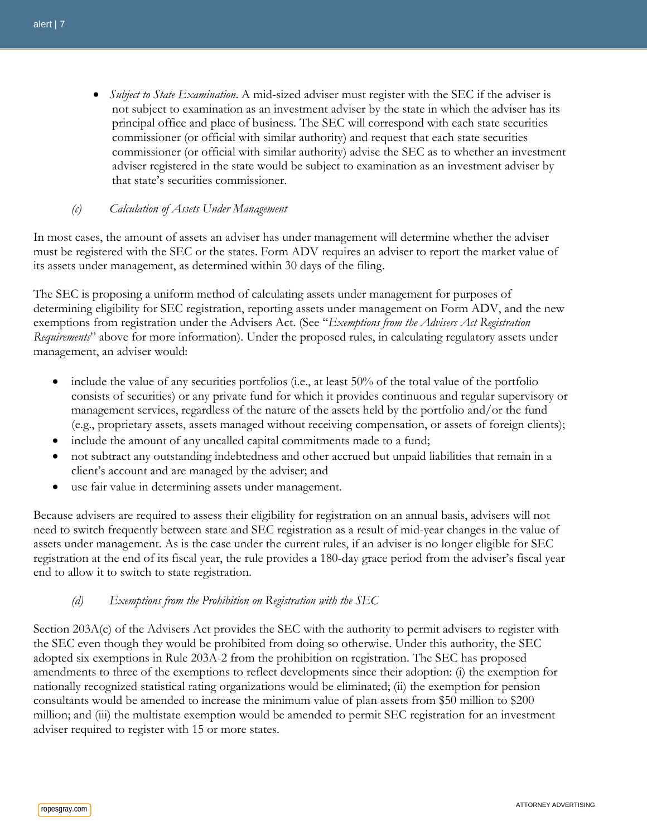• *Subject to State Examination*. A mid-sized adviser must register with the SEC if the adviser is not subject to examination as an investment adviser by the state in which the adviser has its principal office and place of business. The SEC will correspond with each state securities commissioner (or official with similar authority) and request that each state securities commissioner (or official with similar authority) advise the SEC as to whether an investment adviser registered in the state would be subject to examination as an investment adviser by that state's securities commissioner.

#### *(c) Calculation of Assets Under Management*

In most cases, the amount of assets an adviser has under management will determine whether the adviser must be registered with the SEC or the states. Form ADV requires an adviser to report the market value of its assets under management, as determined within 30 days of the filing.

The SEC is proposing a uniform method of calculating assets under management for purposes of determining eligibility for SEC registration, reporting assets under management on Form ADV, and the new exemptions from registration under the Advisers Act. (See "*Exemptions from the Advisers Act Registration Requirements*" above for more information). Under the proposed rules, in calculating regulatory assets under management, an adviser would:

- include the value of any securities portfolios (i.e., at least 50% of the total value of the portfolio consists of securities) or any private fund for which it provides continuous and regular supervisory or management services, regardless of the nature of the assets held by the portfolio and/or the fund (e.g., proprietary assets, assets managed without receiving compensation, or assets of foreign clients);
- include the amount of any uncalled capital commitments made to a fund;
- not subtract any outstanding indebtedness and other accrued but unpaid liabilities that remain in a client's account and are managed by the adviser; and
- use fair value in determining assets under management.

Because advisers are required to assess their eligibility for registration on an annual basis, advisers will not need to switch frequently between state and SEC registration as a result of mid-year changes in the value of assets under management. As is the case under the current rules, if an adviser is no longer eligible for SEC registration at the end of its fiscal year, the rule provides a 180-day grace period from the adviser's fiscal year end to allow it to switch to state registration.

#### *(d) Exemptions from the Prohibition on Registration with the SEC*

Section 203A(c) of the Advisers Act provides the SEC with the authority to permit advisers to register with the SEC even though they would be prohibited from doing so otherwise. Under this authority, the SEC adopted six exemptions in Rule 203A-2 from the prohibition on registration. The SEC has proposed amendments to three of the exemptions to reflect developments since their adoption: (i) the exemption for nationally recognized statistical rating organizations would be eliminated; (ii) the exemption for pension consultants would be amended to increase the minimum value of plan assets from \$50 million to \$200 million; and (iii) the multistate exemption would be amended to permit SEC registration for an investment adviser required to register with 15 or more states.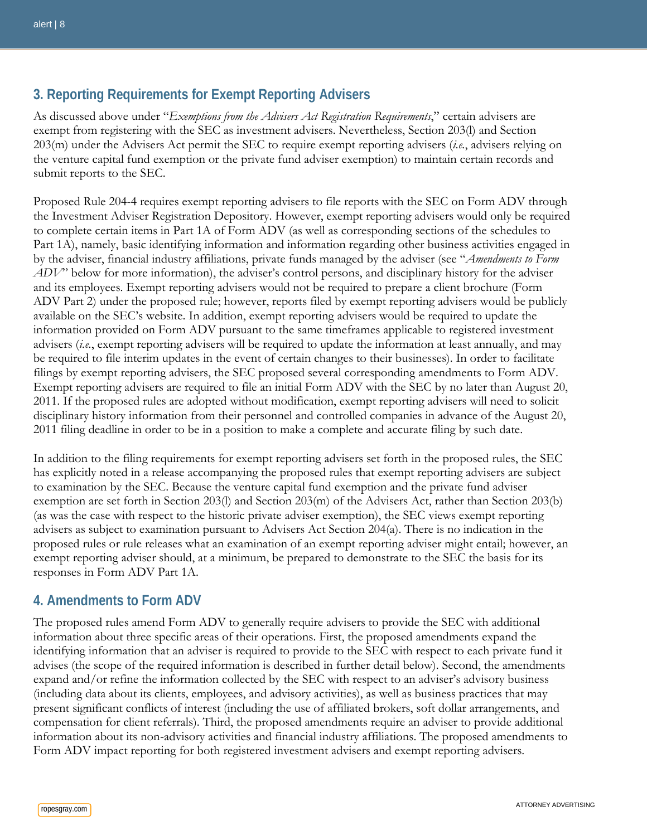# **3. Reporting Requirements for Exempt Reporting Advisers**

As discussed above under "*Exemptions from the Advisers Act Registration Requirements*," certain advisers are exempt from registering with the SEC as investment advisers. Nevertheless, Section 203(l) and Section 203(m) under the Advisers Act permit the SEC to require exempt reporting advisers (*i.e.*, advisers relying on the venture capital fund exemption or the private fund adviser exemption) to maintain certain records and submit reports to the SEC.

Proposed Rule 204-4 requires exempt reporting advisers to file reports with the SEC on Form ADV through the Investment Adviser Registration Depository. However, exempt reporting advisers would only be required to complete certain items in Part 1A of Form ADV (as well as corresponding sections of the schedules to Part 1A), namely, basic identifying information and information regarding other business activities engaged in by the adviser, financial industry affiliations, private funds managed by the adviser (see "*Amendments to Form ADV*" below for more information), the adviser's control persons, and disciplinary history for the adviser and its employees. Exempt reporting advisers would not be required to prepare a client brochure (Form ADV Part 2) under the proposed rule; however, reports filed by exempt reporting advisers would be publicly available on the SEC's website. In addition, exempt reporting advisers would be required to update the information provided on Form ADV pursuant to the same timeframes applicable to registered investment advisers (*i.e.*, exempt reporting advisers will be required to update the information at least annually, and may be required to file interim updates in the event of certain changes to their businesses). In order to facilitate filings by exempt reporting advisers, the SEC proposed several corresponding amendments to Form ADV. Exempt reporting advisers are required to file an initial Form ADV with the SEC by no later than August 20, 2011. If the proposed rules are adopted without modification, exempt reporting advisers will need to solicit disciplinary history information from their personnel and controlled companies in advance of the August 20, 2011 filing deadline in order to be in a position to make a complete and accurate filing by such date.

In addition to the filing requirements for exempt reporting advisers set forth in the proposed rules, the SEC has explicitly noted in a release accompanying the proposed rules that exempt reporting advisers are subject to examination by the SEC. Because the venture capital fund exemption and the private fund adviser exemption are set forth in Section 203(l) and Section 203(m) of the Advisers Act, rather than Section 203(b) (as was the case with respect to the historic private adviser exemption), the SEC views exempt reporting advisers as subject to examination pursuant to Advisers Act Section 204(a). There is no indication in the proposed rules or rule releases what an examination of an exempt reporting adviser might entail; however, an exempt reporting adviser should, at a minimum, be prepared to demonstrate to the SEC the basis for its responses in Form ADV Part 1A.

# **4. Amendments to Form ADV**

The proposed rules amend Form ADV to generally require advisers to provide the SEC with additional information about three specific areas of their operations. First, the proposed amendments expand the identifying information that an adviser is required to provide to the SEC with respect to each private fund it advises (the scope of the required information is described in further detail below). Second, the amendments expand and/or refine the information collected by the SEC with respect to an adviser's advisory business (including data about its clients, employees, and advisory activities), as well as business practices that may present significant conflicts of interest (including the use of affiliated brokers, soft dollar arrangements, and compensation for client referrals). Third, the proposed amendments require an adviser to provide additional information about its non-advisory activities and financial industry affiliations. The proposed amendments to Form ADV impact reporting for both registered investment advisers and exempt reporting advisers.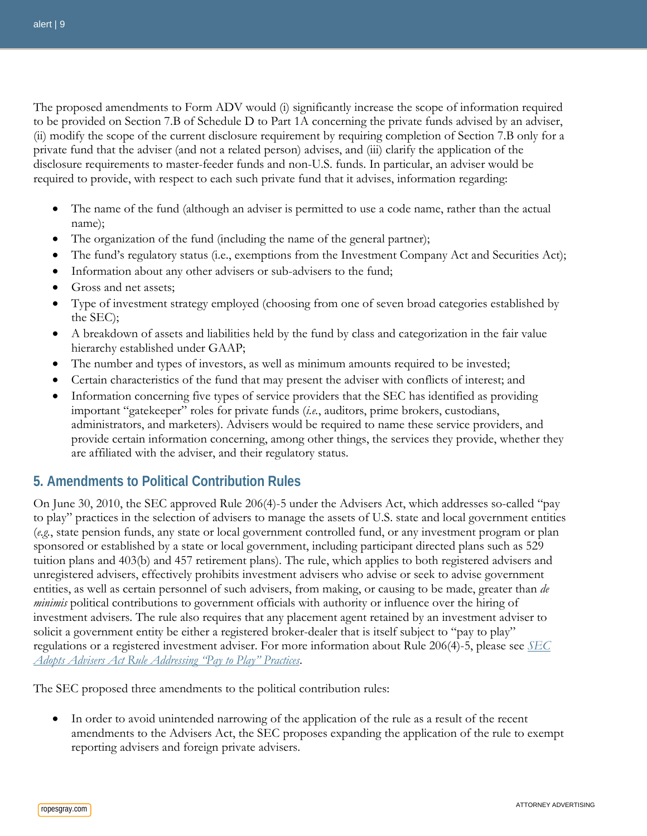The proposed amendments to Form ADV would (i) significantly increase the scope of information required to be provided on Section 7.B of Schedule D to Part 1A concerning the private funds advised by an adviser, (ii) modify the scope of the current disclosure requirement by requiring completion of Section 7.B only for a private fund that the adviser (and not a related person) advises, and (iii) clarify the application of the disclosure requirements to master-feeder funds and non-U.S. funds. In particular, an adviser would be required to provide, with respect to each such private fund that it advises, information regarding:

- The name of the fund (although an adviser is permitted to use a code name, rather than the actual name);
- The organization of the fund (including the name of the general partner);
- The fund's regulatory status (i.e., exemptions from the Investment Company Act and Securities Act);
- Information about any other advisers or sub-advisers to the fund;
- Gross and net assets;
- Type of investment strategy employed (choosing from one of seven broad categories established by the SEC);
- A breakdown of assets and liabilities held by the fund by class and categorization in the fair value hierarchy established under GAAP;
- The number and types of investors, as well as minimum amounts required to be invested;
- Certain characteristics of the fund that may present the adviser with conflicts of interest; and
- Information concerning five types of service providers that the SEC has identified as providing important "gatekeeper" roles for private funds (*i.e.*, auditors, prime brokers, custodians, administrators, and marketers). Advisers would be required to name these service providers, and provide certain information concerning, among other things, the services they provide, whether they are affiliated with the adviser, and their regulatory status.

# **5. Amendments to Political Contribution Rules**

On June 30, 2010, the SEC approved Rule 206(4)-5 under the Advisers Act, which addresses so-called "pay to play" practices in the selection of advisers to manage the assets of U.S. state and local government entities (*e.g.*, state pension funds, any state or local government controlled fund, or any investment program or plan sponsored or established by a state or local government, including participant directed plans such as 529 tuition plans and 403(b) and 457 retirement plans). The rule, which applies to both registered advisers and unregistered advisers, effectively prohibits investment advisers who advise or seek to advise government entities, as well as certain personnel of such advisers, from making, or causing to be made, greater than *de minimis* political contributions to government officials with authority or influence over the hiring of investment advisers. The rule also requires that any placement agent retained by an investment adviser to solicit a government entity be either a registered broker-dealer that is itself subject to "pay to play" regulations or a registered investment adviser. For more information about Rule 206(4)-5, please see *[SEC](http://www.ropesgray.com/files/upload/07092010PIFHFIMAlert.pdf)  [Adopts Advisers Act Rule Addressing "Pay to Play" Practices](http://www.ropesgray.com/files/upload/07092010PIFHFIMAlert.pdf)*.

The SEC proposed three amendments to the political contribution rules:

• In order to avoid unintended narrowing of the application of the rule as a result of the recent amendments to the Advisers Act, the SEC proposes expanding the application of the rule to exempt reporting advisers and foreign private advisers.